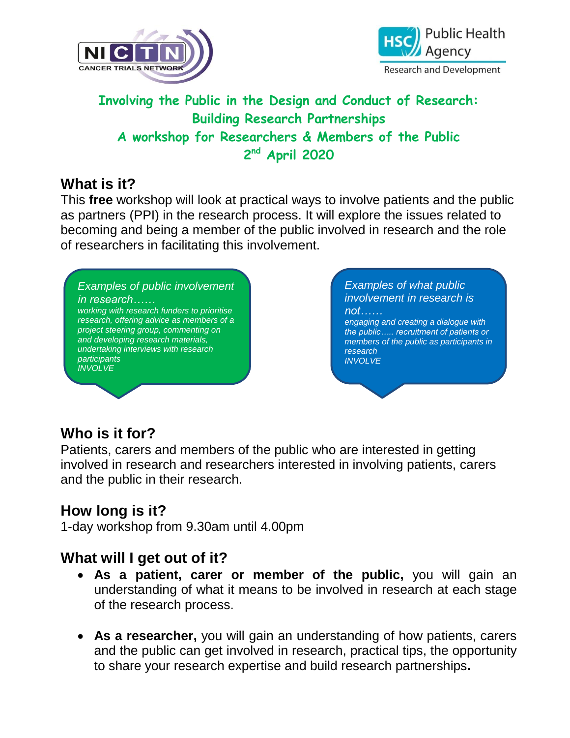



## **Involving the Public in the Design and Conduct of Research: Building Research Partnerships A workshop for Researchers & Members of the Public 2 nd April 2020**

### **What is it?**

This **free** workshop will look at practical ways to involve patients and the public as partners (PPI) in the research process. It will explore the issues related to becoming and being a member of the public involved in research and the role of researchers in facilitating this involvement.

#### *Examples of public involvement in research……*

*working with research funders to prioritise research, offering advice as members of a project steering group, commenting on and developing research materials, undertaking interviews with research participants INVOLVE*

*Examples of what public involvement in research is not……*

*engaging and creating a dialogue with the public….. recruitment of patients or members of the public as participants in research INVOLVE*

# **Who is it for?**

Patients, carers and members of the public who are interested in getting involved in research and researchers interested in involving patients, carers and the public in their research.

## **How long is it?**

1-day workshop from 9.30am until 4.00pm

### **What will I get out of it?**

- **As a patient, carer or member of the public,** you will gain an understanding of what it means to be involved in research at each stage of the research process.
- **As a researcher,** you will gain an understanding of how patients, carers and the public can get involved in research, practical tips, the opportunity to share your research expertise and build research partnerships**.**